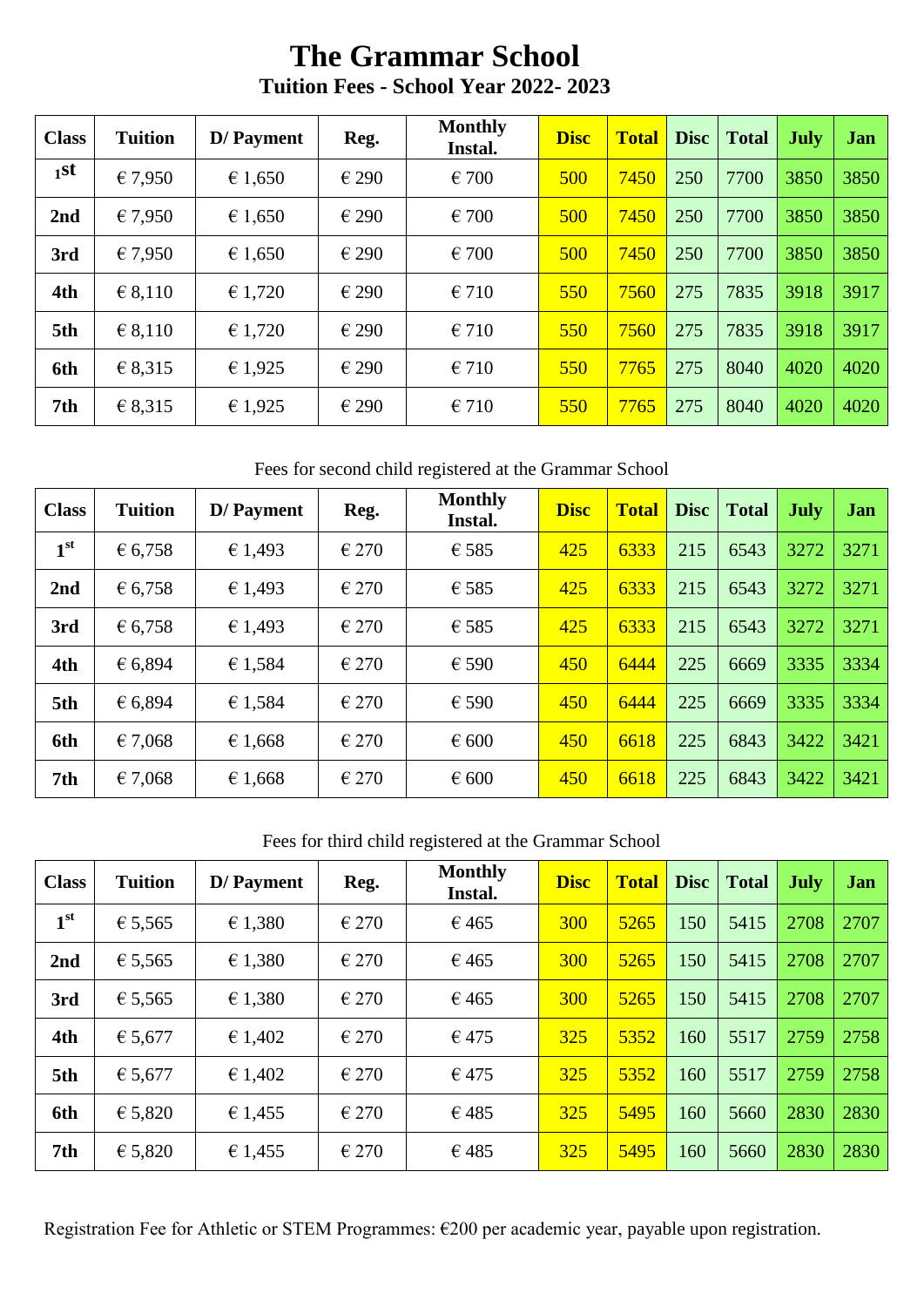# **The Grammar School Tuition Fees - School Year 2022- 2023**

| <b>Class</b> | <b>Tuition</b> | D/ Payment | Reg.           | <b>Monthly</b><br>Instal. | <b>Disc</b> | <b>Total</b> | Disc | <b>Total</b> | <b>July</b> | Jan  |
|--------------|----------------|------------|----------------|---------------------------|-------------|--------------|------|--------------|-------------|------|
| $11$ st      | €7,950         | € 1,650    | €290           | $\epsilon$ 700            | 500         | 7450         | 250  | 7700         | 3850        | 3850 |
| 2nd          | € 7,950        | € 1,650    | €290           | $\epsilon$ 700            | 500         | 7450         | 250  | 7700         | 3850        | 3850 |
| 3rd          | € 7,950        | € 1,650    | €290           | $\epsilon$ 700            | 500         | 7450         | 250  | 7700         | 3850        | 3850 |
| 4th          | € 8,110        | € 1,720    | €290           | €710                      | 550         | 7560         | 275  | 7835         | 3918        | 3917 |
| 5th          | € 8,110        | € 1,720    | $\epsilon$ 290 | €710                      | 550         | 7560         | 275  | 7835         | 3918        | 3917 |
| 6th          | € 8,315        | € 1,925    | $\epsilon$ 290 | €710                      | 550         | 7765         | 275  | 8040         | 4020        | 4020 |
| 7th          | € 8,315        | € 1,925    | $\epsilon$ 290 | €710                      | 550         | 7765         | 275  | 8040         | 4020        | 4020 |

Fees for second child registered at the Grammar School

| <b>Class</b>    | <b>Tuition</b> | D/ Payment | Reg.           | <b>Monthly</b><br>Instal. | <b>Disc</b> | <b>Total</b> | <b>Disc</b> | <b>Total</b> | <b>July</b> | <b>Jan</b> |
|-----------------|----------------|------------|----------------|---------------------------|-------------|--------------|-------------|--------------|-------------|------------|
| 1 <sup>st</sup> | € 6,758        | € 1,493    | €270           | $\epsilon$ 585            | 425         | 6333         | 215         | 6543         | 3272        | 3271       |
| 2nd             | € 6,758        | € 1,493    | €270           | € 585                     | 425         | 6333         | 215         | 6543         | 3272        | 3271       |
| 3rd             | € 6,758        | € 1,493    | €270           | € 585                     | 425         | 6333         | 215         | 6543         | 3272        | 3271       |
| 4th             | € 6,894        | € 1,584    | €270           | € 590                     | 450         | 6444         | 225         | 6669         | 3335        | 3334       |
| 5th             | € 6,894        | € 1,584    | $\epsilon$ 270 | $\epsilon$ 590            | 450         | 6444         | 225         | 6669         | 3335        | 3334       |
| 6th             | €7,068         | € 1,668    | €270           | $\epsilon$ 600            | 450         | 6618         | 225         | 6843         | 3422        | 3421       |
| 7th             | € 7,068        | € 1,668    | €270           | $\epsilon$ 600            | 450         | 6618         | 225         | 6843         | 3422        | 3421       |

Fees for third child registered at the Grammar School

| <b>Class</b>    | <b>Tuition</b> | D/ Payment | Reg.           | <b>Monthly</b><br>Instal. | <b>Disc</b> | <b>Total</b> | <b>Disc</b> | <b>Total</b> | <b>July</b> | Jan  |
|-----------------|----------------|------------|----------------|---------------------------|-------------|--------------|-------------|--------------|-------------|------|
| 1 <sup>st</sup> | € 5,565        | € 1,380    | $\epsilon$ 270 | €465                      | <b>300</b>  | 5265         | 150         | 5415         | 2708        | 2707 |
| 2nd             | € 5,565        | € 1,380    | €270           | €465                      | <b>300</b>  | 5265         | 150         | 5415         | 2708        | 2707 |
| 3rd             | € 5,565        | € 1,380    | €270           | €465                      | <b>300</b>  | 5265         | 150         | 5415         | 2708        | 2707 |
| 4th             | € 5,677        | € 1,402    | €270           | $\epsilon$ 475            | 325         | 5352         | 160         | 5517         | 2759        | 2758 |
| 5th             | € 5,677        | € 1,402    | €270           | $\epsilon$ 475            | 325         | 5352         | 160         | 5517         | 2759        | 2758 |
| 6th             | € 5,820        | € 1,455    | €270           | €485                      | 325         | 5495         | 160         | 5660         | 2830        | 2830 |
| 7th             | € 5,820        | € 1,455    | $\epsilon$ 270 | €485                      | 325         | 5495         | 160         | 5660         | 2830        | 2830 |

Registration Fee for Athletic or STEM Programmes: €200 per academic year, payable upon registration.